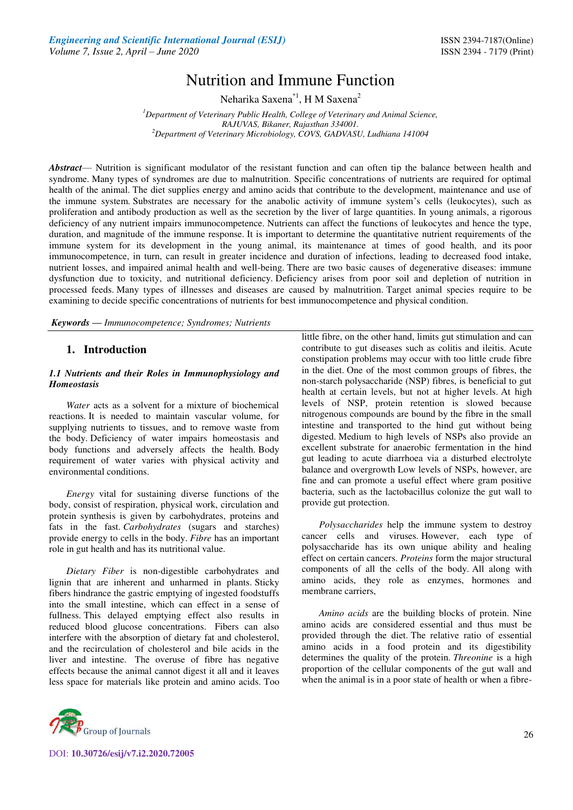# Nutrition and Immune Function

Neharika Saxena<sup>\*1</sup>, H M Saxena<sup>2</sup>

*<sup>1</sup>Department of Veterinary Public Health, College of Veterinary and Animal Science, RAJUVAS, Bikaner, Rajasthan 334001. <sup>2</sup>Department of Veterinary Microbiology, COVS, GADVASU, Ludhiana 141004* 

*Abstract*— Nutrition is significant modulator of the resistant function and can often tip the balance between health and syndrome. Many types of syndromes are due to malnutrition. Specific concentrations of nutrients are required for optimal health of the animal. The diet supplies energy and amino acids that contribute to the development, maintenance and use of the immune system. Substrates are necessary for the anabolic activity of immune system's cells (leukocytes), such as proliferation and antibody production as well as the secretion by the liver of large quantities. In young animals, a rigorous deficiency of any nutrient impairs immunocompetence. Nutrients can affect the functions of leukocytes and hence the type, duration, and magnitude of the immune response. It is important to determine the quantitative nutrient requirements of the immune system for its development in the young animal, its maintenance at times of good health, and its poor immunocompetence, in turn, can result in greater incidence and duration of infections, leading to decreased food intake, nutrient losses, and impaired animal health and well-being. There are two basic causes of degenerative diseases: immune dysfunction due to toxicity, and nutritional deficiency. Deficiency arises from poor soil and depletion of nutrition in processed feeds. Many types of illnesses and diseases are caused by malnutrition. Target animal species require to be examining to decide specific concentrations of nutrients for best immunocompetence and physical condition.

*Keywords* **—** *Immunocompetence; Syndromes; Nutrients*

# **1. Introduction**

#### *1.1 Nutrients and their Roles in Immunophysiology and Homeostasis*

*Water* acts as a solvent for a mixture of biochemical reactions. It is needed to maintain vascular volume, for supplying nutrients to tissues, and to remove waste from the body. Deficiency of water impairs homeostasis and body functions and adversely affects the health. Body requirement of water varies with physical activity and environmental conditions.

*Energy* vital for sustaining diverse functions of the body, consist of respiration, physical work, circulation and protein synthesis is given by carbohydrates, proteins and fats in the fast. *Carbohydrates* (sugars and starches) provide energy to cells in the body. *Fibre* has an important role in gut health and has its nutritional value.

*Dietary Fiber* is non-digestible carbohydrates and lignin that are inherent and unharmed in plants. Sticky fibers hindrance the gastric emptying of ingested foodstuffs into the small intestine, which can effect in a sense of fullness. This delayed emptying effect also results in reduced blood glucose concentrations. Fibers can also interfere with the absorption of dietary fat and cholesterol, and the recirculation of cholesterol and bile acids in the liver and intestine. The overuse of fibre has negative effects because the animal cannot digest it all and it leaves less space for materials like protein and amino acids. Too



*Polysaccharides* help the immune system to destroy cancer cells and viruses. However, each type of polysaccharide has its own unique ability and healing effect on certain cancers. *Proteins* form the major structural components of all the cells of the body. All along with amino acids, they role as enzymes, hormones and membrane carriers,

*Amino acids* are the building blocks of protein. Nine amino acids are considered essential and thus must be provided through the diet. The relative ratio of essential amino acids in a food protein and its digestibility determines the quality of the protein. *Threonine* is a high proportion of the cellular components of the gut wall and when the animal is in a poor state of health or when a fibre-



DOI: **10.30726/esij/v7.i2.2020.72005**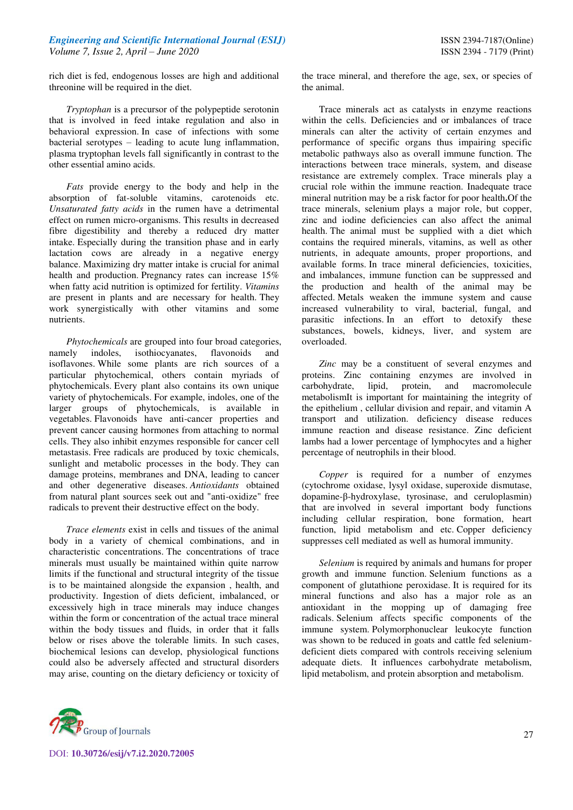rich diet is fed, endogenous losses are high and additional threonine will be required in the diet.

*Tryptophan* is a precursor of the polypeptide serotonin that is involved in feed intake regulation and also in behavioral expression. In case of infections with some bacterial serotypes – leading to acute lung inflammation, plasma tryptophan levels fall significantly in contrast to the other essential amino acids.

*Fats* provide energy to the body and help in the absorption of fat-soluble vitamins, carotenoids etc. *Unsaturated fatty acids* in the rumen have a detrimental effect on rumen micro-organisms. This results in decreased fibre digestibility and thereby a reduced dry matter intake. Especially during the transition phase and in early lactation cows are already in a negative energy balance. Maximizing dry matter intake is crucial for animal health and production. Pregnancy rates can increase 15% when fatty acid nutrition is optimized for fertility. *Vitamins* are present in plants and are necessary for health. They work synergistically with other vitamins and some nutrients.

*Phytochemicals* are grouped into four broad categories,<br>ely indoles, isothiocyanates, flavonoids and namely indoles, isothiocyanates, flavonoids and isoflavones. While some plants are rich sources of a particular phytochemical, others contain myriads of phytochemicals. Every plant also contains its own unique variety of phytochemicals. For example, indoles, one of the larger groups of phytochemicals, is available in vegetables. Flavonoids have anti-cancer properties and prevent cancer causing hormones from attaching to normal cells. They also inhibit enzymes responsible for cancer cell metastasis. Free radicals are produced by toxic chemicals, sunlight and metabolic processes in the body. They can damage proteins, membranes and DNA, leading to cancer and other degenerative diseases. *Antioxidants* obtained from natural plant sources seek out and "anti-oxidize" free radicals to prevent their destructive effect on the body.

*Trace elements* exist in cells and tissues of the animal body in a variety of chemical combinations, and in characteristic concentrations. The concentrations of trace minerals must usually be maintained within quite narrow limits if the functional and structural integrity of the tissue is to be maintained alongside the expansion , health, and productivity. Ingestion of diets deficient, imbalanced, or excessively high in trace minerals may induce changes within the form or concentration of the actual trace mineral within the body tissues and fluids, in order that it falls below or rises above the tolerable limits. In such cases, biochemical lesions can develop, physiological functions could also be adversely affected and structural disorders may arise, counting on the dietary deficiency or toxicity of

the trace mineral, and therefore the age, sex, or species of the animal.

Trace minerals act as catalysts in enzyme reactions within the cells. Deficiencies and or imbalances of trace minerals can alter the activity of certain enzymes and performance of specific organs thus impairing specific metabolic pathways also as overall immune function. The interactions between trace minerals, system, and disease resistance are extremely complex. Trace minerals play a crucial role within the immune reaction. Inadequate trace mineral nutrition may be a risk factor for poor health**.**Of the trace minerals, selenium plays a major role, but copper, zinc and iodine deficiencies can also affect the animal health. The animal must be supplied with a diet which contains the required minerals, vitamins, as well as other nutrients, in adequate amounts, proper proportions, and available forms. In trace mineral deficiencies, toxicities, and imbalances, immune function can be suppressed and the production and health of the animal may be affected. Metals weaken the immune system and cause increased vulnerability to viral, bacterial, fungal, and parasitic infections. In an effort to detoxify these substances, bowels, kidneys, liver, and system are overloaded.

*Zinc* may be a constituent of several enzymes and proteins. Zinc containing enzymes are involved in carbohydrate, lipid, protein, and macromolecule metabolismIt is important for maintaining the integrity of the epithelium , cellular division and repair, and vitamin A transport and utilization. deficiency disease reduces immune reaction and disease resistance. Zinc deficient lambs had a lower percentage of lymphocytes and a higher percentage of neutrophils in their blood.

*Copper* is required for a number of enzymes (cytochrome oxidase, lysyl oxidase, superoxide dismutase, dopamine-β-hydroxylase, tyrosinase, and ceruloplasmin) that are involved in several important body functions including cellular respiration, bone formation, heart function, lipid metabolism and etc. Copper deficiency suppresses cell mediated as well as humoral immunity.

*Selenium* is required by animals and humans for proper growth and immune function. Selenium functions as a component of glutathione peroxidase. It is required for its mineral functions and also has a major role as an antioxidant in the mopping up of damaging free radicals. Selenium affects specific components of the immune system. Polymorphonuclear leukocyte function was shown to be reduced in goats and cattle fed seleniumdeficient diets compared with controls receiving selenium adequate diets. It influences carbohydrate metabolism, lipid metabolism, and protein absorption and metabolism.



DOI: **10.30726/esij/v7.i2.2020.72005**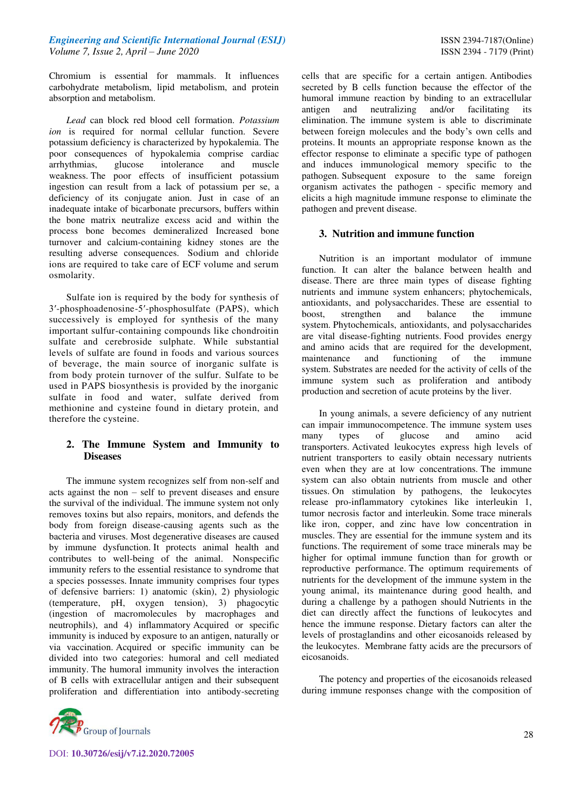Chromium is essential for mammals. It influences carbohydrate metabolism, lipid metabolism, and protein absorption and metabolism.

*Lead* can block red blood cell formation. *Potassium ion* is required for normal cellular function. Severe potassium deficiency is characterized by hypokalemia. The poor consequences of hypokalemia comprise cardiac arrhythmias, glucose intolerance and muscle weakness. The poor effects of insufficient potassium ingestion can result from a lack of potassium per se, a deficiency of its conjugate anion. Just in case of an inadequate intake of bicarbonate precursors, buffers within the bone matrix neutralize excess acid and within the process bone becomes demineralized Increased bone turnover and calcium-containing kidney stones are the resulting adverse consequences. Sodium and chloride ions are required to take care of ECF volume and serum osmolarity.

Sulfate ion is required by the body for synthesis of 3′-phosphoadenosine-5′-phosphosulfate (PAPS), which successively is employed for synthesis of the many important sulfur-containing compounds like chondroitin sulfate and cerebroside sulphate. While substantial levels of sulfate are found in foods and various sources of beverage, the main source of inorganic sulfate is from body protein turnover of the sulfur. Sulfate to be used in PAPS biosynthesis is provided by the inorganic sulfate in food and water, sulfate derived from methionine and cysteine found in dietary protein, and therefore the cysteine.

# **2. The Immune System and Immunity to Diseases**

The immune system recognizes self from non-self and acts against the non – self to prevent diseases and ensure the survival of the individual. The immune system not only removes toxins but also repairs, monitors, and defends the body from foreign disease-causing agents such as the bacteria and viruses. Most degenerative diseases are caused by immune dysfunction. It protects animal health and contributes to well-being of the animal. Nonspecific immunity refers to the essential resistance to syndrome that a species possesses. Innate immunity comprises four types of defensive barriers: 1) anatomic (skin), 2) physiologic (temperature, pH, oxygen tension), 3) phagocytic (ingestion of macromolecules by macrophages and neutrophils), and 4) inflammatory Acquired or specific immunity is induced by exposure to an antigen, naturally or via vaccination. Acquired or specific immunity can be divided into two categories: humoral and cell mediated immunity. The humoral immunity involves the interaction of B cells with extracellular antigen and their subsequent proliferation and differentiation into antibody-secreting



cells that are specific for a certain antigen. Antibodies secreted by B cells function because the effector of the humoral immune reaction by binding to an extracellular antigen and neutralizing and/or facilitating its elimination. The immune system is able to discriminate between foreign molecules and the body's own cells and proteins. It mounts an appropriate response known as the effector response to eliminate a specific type of pathogen and induces immunological memory specific to the pathogen. Subsequent exposure to the same foreign organism activates the pathogen - specific memory and elicits a high magnitude immune response to eliminate the pathogen and prevent disease.

# **3. Nutrition and immune function**

Nutrition is an important modulator of immune function. It can alter the balance between health and disease. There are three main types of disease fighting nutrients and immune system enhancers; phytochemicals, antioxidants, and polysaccharides. These are essential to boost, strengthen and balance the immune system. Phytochemicals, antioxidants, and polysaccharides are vital disease-fighting nutrients. Food provides energy and amino acids that are required for the development, maintenance and functioning of the immune system. Substrates are needed for the activity of cells of the immune system such as proliferation and antibody production and secretion of acute proteins by the liver.

In young animals, a severe deficiency of any nutrient can impair immunocompetence. The immune system uses many types of glucose and amino acid transporters. Activated leukocytes express high levels of nutrient transporters to easily obtain necessary nutrients even when they are at low concentrations. The immune system can also obtain nutrients from muscle and other tissues. On stimulation by pathogens, the leukocytes release pro-inflammatory cytokines like interleukin 1, tumor necrosis factor and interleukin. Some trace minerals like iron, copper, and zinc have low concentration in muscles. They are essential for the immune system and its functions. The requirement of some trace minerals may be higher for optimal immune function than for growth or reproductive performance. The optimum requirements of nutrients for the development of the immune system in the young animal, its maintenance during good health, and during a challenge by a pathogen should Nutrients in the diet can directly affect the functions of leukocytes and hence the immune response. Dietary factors can alter the levels of prostaglandins and other eicosanoids released by the leukocytes. Membrane fatty acids are the precursors of eicosanoids.

The potency and properties of the eicosanoids released during immune responses change with the composition of